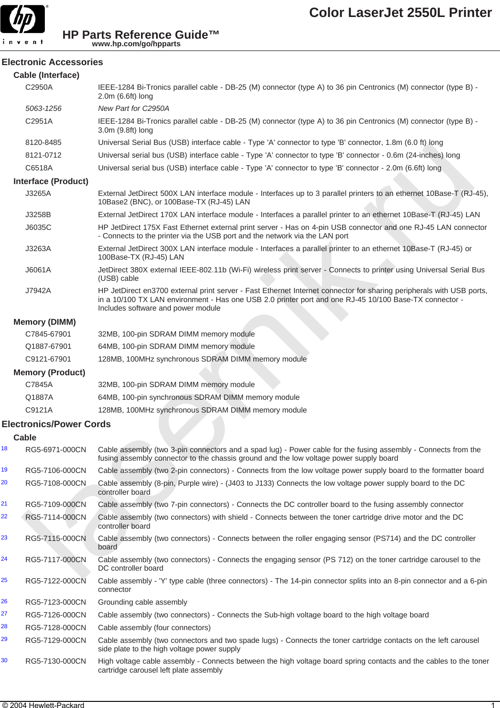

#### **Electronic Accessories**

|    | <b>Cable (Interface)</b>       |                                                                                                                                                                                                                                                                      |  |  |
|----|--------------------------------|----------------------------------------------------------------------------------------------------------------------------------------------------------------------------------------------------------------------------------------------------------------------|--|--|
|    | C2950A                         | IEEE-1284 Bi-Tronics parallel cable - DB-25 (M) connector (type A) to 36 pin Centronics (M) connector (type B) -<br>2.0m (6.6ft) long                                                                                                                                |  |  |
|    | 5063-1256                      | New Part for C2950A                                                                                                                                                                                                                                                  |  |  |
|    | C2951A                         | IEEE-1284 Bi-Tronics parallel cable - DB-25 (M) connector (type A) to 36 pin Centronics (M) connector (type B) -<br>3.0m (9.8ft) long                                                                                                                                |  |  |
|    | 8120-8485                      | Universal Serial Bus (USB) interface cable - Type 'A' connector to type 'B' connector, 1.8m (6.0 ft) long                                                                                                                                                            |  |  |
|    | 8121-0712                      | Universal serial bus (USB) interface cable - Type 'A' connector to type 'B' connector - 0.6m (24-inches) long                                                                                                                                                        |  |  |
|    | C6518A                         | Universal serial bus (USB) interface cable - Type 'A' connector to type 'B' connector - 2.0m (6.6ft) long                                                                                                                                                            |  |  |
|    | <b>Interface (Product)</b>     |                                                                                                                                                                                                                                                                      |  |  |
|    | J3265A                         | External JetDirect 500X LAN interface module - Interfaces up to 3 parallel printers to an ethernet 10Base-T (RJ-45),<br>10Base2 (BNC), or 100Base-TX (RJ-45) LAN                                                                                                     |  |  |
|    | J3258B                         | External JetDirect 170X LAN interface module - Interfaces a parallel printer to an ethernet 10Base-T (RJ-45) LAN                                                                                                                                                     |  |  |
|    | J6035C                         | HP JetDirect 175X Fast Ethernet external print server - Has on 4-pin USB connector and one RJ-45 LAN connector<br>- Connects to the printer via the USB port and the network via the LAN port                                                                        |  |  |
|    | J3263A                         | External JetDirect 300X LAN interface module - Interfaces a parallel printer to an ethernet 10Base-T (RJ-45) or<br>100Base-TX (RJ-45) LAN                                                                                                                            |  |  |
|    | J6061A                         | JetDirect 380X external IEEE-802.11b (Wi-Fi) wireless print server - Connects to printer using Universal Serial Bus<br>(USB) cable                                                                                                                                   |  |  |
|    | J7942A                         | HP JetDirect en3700 external print server - Fast Ethernet Internet connector for sharing peripherals with USB ports,<br>in a 10/100 TX LAN environment - Has one USB 2.0 printer port and one RJ-45 10/100 Base-TX connector -<br>Includes software and power module |  |  |
|    | <b>Memory (DIMM)</b>           |                                                                                                                                                                                                                                                                      |  |  |
|    | C7845-67901                    | 32MB, 100-pin SDRAM DIMM memory module                                                                                                                                                                                                                               |  |  |
|    | Q1887-67901                    | 64MB, 100-pin SDRAM DIMM memory module                                                                                                                                                                                                                               |  |  |
|    | C9121-67901                    | 128MB, 100MHz synchronous SDRAM DIMM memory module                                                                                                                                                                                                                   |  |  |
|    | <b>Memory (Product)</b>        |                                                                                                                                                                                                                                                                      |  |  |
|    | C7845A                         | 32MB, 100-pin SDRAM DIMM memory module                                                                                                                                                                                                                               |  |  |
|    | Q1887A                         | 64MB, 100-pin synchronous SDRAM DIMM memory module                                                                                                                                                                                                                   |  |  |
|    | C9121A                         | 128MB, 100MHz synchronous SDRAM DIMM memory module                                                                                                                                                                                                                   |  |  |
|    | <b>Electronics/Power Cords</b> |                                                                                                                                                                                                                                                                      |  |  |
|    | <b>Cable</b>                   |                                                                                                                                                                                                                                                                      |  |  |
| 18 | RG5-6971-000CN                 | Cable assembly (two 3-pin connectors and a spad lug) - Power cable for the fusing assembly - Connects from the<br>fusing assembly connector to the chassis ground and the low voltage power supply board                                                             |  |  |
| 19 | RG5-7106-000CN                 | Cable assembly (two 2-pin connectors) - Connects from the low voltage power supply board to the formatter board                                                                                                                                                      |  |  |
| 20 | RG5-7108-000CN                 | Cable assembly (8-pin, Purple wire) - (J403 to J133) Connects the low voltage power supply board to the DC<br>controller board                                                                                                                                       |  |  |
| 21 | RG5-7109-000CN                 | Cable assembly (two 7-pin connectors) - Connects the DC controller board to the fusing assembly connector                                                                                                                                                            |  |  |
| 22 | RG5-7114-000CN                 | Cable assembly (two connectors) with shield - Connects between the toner cartridge drive motor and the DC<br>controller board                                                                                                                                        |  |  |
| 23 | RG5-7115-000CN                 | Cable assembly (two connectors) - Connects between the roller engaging sensor (PS714) and the DC controller<br>board                                                                                                                                                 |  |  |
| 24 | RG5-7117-000CN                 | Cable assembly (two connectors) - Connects the engaging sensor (PS 712) on the toner cartridge carousel to the<br>DC controller board                                                                                                                                |  |  |
| 25 | RG5-7122-000CN                 | Cable assembly - 'Y' type cable (three connectors) - The 14-pin connector splits into an 8-pin connector and a 6-pin<br>connector                                                                                                                                    |  |  |
| 26 | RG5-7123-000CN                 | Grounding cable assembly                                                                                                                                                                                                                                             |  |  |
| 27 | RG5-7126-000CN                 | Cable assembly (two connectors) - Connects the Sub-high voltage board to the high voltage board                                                                                                                                                                      |  |  |
| 28 | RG5-7128-000CN                 | Cable assembly (four connectors)                                                                                                                                                                                                                                     |  |  |
| 29 | RG5-7129-000CN                 | Cable assembly (two connectors and two spade lugs) - Connects the toner cartridge contacts on the left carousel<br>side plate to the high voltage power supply                                                                                                       |  |  |
| 30 | RG5-7130-000CN                 | High voltage cable assembly - Connects between the high voltage board spring contacts and the cables to the toner<br>cartridge carousel left plate assembly                                                                                                          |  |  |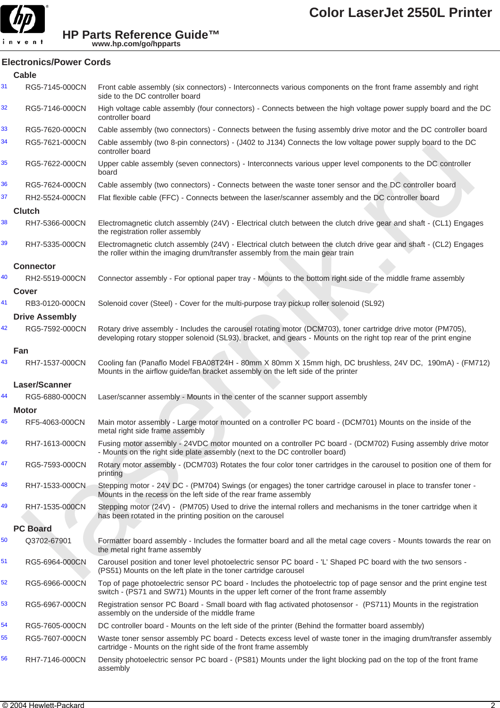

# **Electronics/Power Cords**

|    | <b>Cable</b>          |                                                                                                                                                                                                                                 |
|----|-----------------------|---------------------------------------------------------------------------------------------------------------------------------------------------------------------------------------------------------------------------------|
| 31 | RG5-7145-000CN        | Front cable assembly (six connectors) - Interconnects various components on the front frame assembly and right<br>side to the DC controller board                                                                               |
| 32 | RG5-7146-000CN        | High voltage cable assembly (four connectors) - Connects between the high voltage power supply board and the DC<br>controller board                                                                                             |
| 33 | RG5-7620-000CN        | Cable assembly (two connectors) - Connects between the fusing assembly drive motor and the DC controller board                                                                                                                  |
| 34 | RG5-7621-000CN        | Cable assembly (two 8-pin connectors) - (J402 to J134) Connects the low voltage power supply board to the DC<br>controller board                                                                                                |
| 35 | RG5-7622-000CN        | Upper cable assembly (seven connectors) - Interconnects various upper level components to the DC controller<br>board                                                                                                            |
| 36 | RG5-7624-000CN        | Cable assembly (two connectors) - Connects between the waste toner sensor and the DC controller board                                                                                                                           |
| 37 | RH2-5524-000CN        | Flat flexible cable (FFC) - Connects between the laser/scanner assembly and the DC controller board                                                                                                                             |
|    | <b>Clutch</b>         |                                                                                                                                                                                                                                 |
| 38 | RH7-5366-000CN        | Electromagnetic clutch assembly (24V) - Electrical clutch between the clutch drive gear and shaft - (CL1) Engages<br>the registration roller assembly                                                                           |
| 39 | RH7-5335-000CN        | Electromagnetic clutch assembly (24V) - Electrical clutch between the clutch drive gear and shaft - (CL2) Engages<br>the roller within the imaging drum/transfer assembly from the main gear train                              |
|    | <b>Connector</b>      |                                                                                                                                                                                                                                 |
| 40 | RH2-5519-000CN        | Connector assembly - For optional paper tray - Mounts to the bottom right side of the middle frame assembly                                                                                                                     |
|    | <b>Cover</b>          |                                                                                                                                                                                                                                 |
| 41 | RB3-0120-000CN        | Solenoid cover (Steel) - Cover for the multi-purpose tray pickup roller solenoid (SL92)                                                                                                                                         |
|    | <b>Drive Assembly</b> |                                                                                                                                                                                                                                 |
| 42 | RG5-7592-000CN        | Rotary drive assembly - Includes the carousel rotating motor (DCM703), toner cartridge drive motor (PM705),<br>developing rotary stopper solenoid (SL93), bracket, and gears - Mounts on the right top rear of the print engine |
|    | Fan                   |                                                                                                                                                                                                                                 |
| 43 | RH7-1537-000CN        | Cooling fan (Panaflo Model FBA08T24H - 80mm X 80mm X 15mm high, DC brushless, 24V DC, 190mA) - (FM712)<br>Mounts in the airflow guide/fan bracket assembly on the left side of the printer                                      |
|    | Laser/Scanner         |                                                                                                                                                                                                                                 |
| 44 | RG5-6880-000CN        | Laser/scanner assembly - Mounts in the center of the scanner support assembly                                                                                                                                                   |
|    | <b>Motor</b>          |                                                                                                                                                                                                                                 |
| 45 | RF5-4063-000CN        | Main motor assembly - Large motor mounted on a controller PC board - (DCM701) Mounts on the inside of the<br>metal right side frame assembly                                                                                    |
| 46 | RH7-1613-000CN        | Fusing motor assembly - 24VDC motor mounted on a controller PC board - (DCM702) Fusing assembly drive motor<br>- Mounts on the right side plate assembly (next to the DC controller board)                                      |
| 47 | RG5-7593-000CN        | Rotary motor assembly - (DCM703) Rotates the four color toner cartridges in the carousel to position one of them for<br>printing                                                                                                |
| 48 | RH7-1533-000CN        | Stepping motor - 24V DC - (PM704) Swings (or engages) the toner cartridge carousel in place to transfer toner -<br>Mounts in the recess on the left side of the rear frame assembly                                             |
| 49 | RH7-1535-000CN        | Stepping motor (24V) - (PM705) Used to drive the internal rollers and mechanisms in the toner cartridge when it<br>has been rotated in the printing position on the carousel                                                    |
|    | <b>PC Board</b>       |                                                                                                                                                                                                                                 |
| 50 | Q3702-67901           | Formatter board assembly - Includes the formatter board and all the metal cage covers - Mounts towards the rear on<br>the metal right frame assembly                                                                            |
| 51 | RG5-6964-000CN        | Carousel position and toner level photoelectric sensor PC board - 'L' Shaped PC board with the two sensors -<br>(PS51) Mounts on the left plate in the toner cartridge carousel                                                 |
| 52 | RG5-6966-000CN        | Top of page photoelectric sensor PC board - Includes the photoelectric top of page sensor and the print engine test<br>switch - (PS71 and SW71) Mounts in the upper left corner of the front frame assembly                     |
| 53 | RG5-6967-000CN        | Registration sensor PC Board - Small board with flag activated photosensor - (PS711) Mounts in the registration<br>assembly on the underside of the middle frame                                                                |
| 54 | RG5-7605-000CN        | DC controller board - Mounts on the left side of the printer (Behind the formatter board assembly)                                                                                                                              |
| 55 | RG5-7607-000CN        | Waste toner sensor assembly PC board - Detects excess level of waste toner in the imaging drum/transfer assembly<br>cartridge - Mounts on the right side of the front frame assembly                                            |
| 56 | RH7-7146-000CN        | Density photoelectric sensor PC board - (PS81) Mounts under the light blocking pad on the top of the front frame<br>assembly                                                                                                    |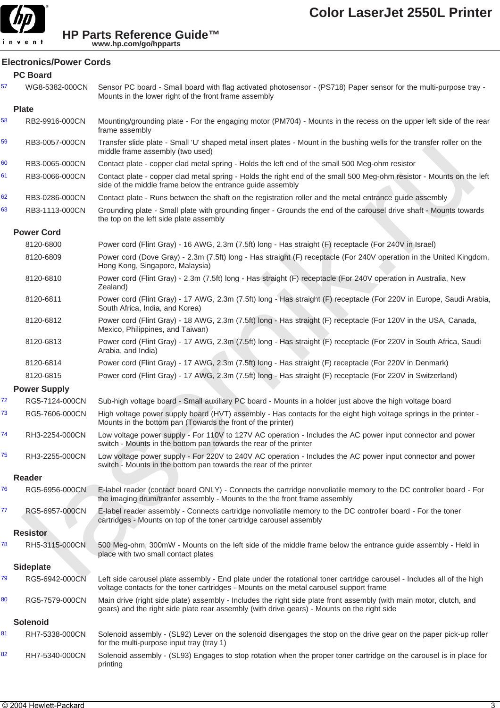

# **Electronics/Power Cords**

|    | <b>PC Board</b>     |                                                                                                                                                                                                                    |
|----|---------------------|--------------------------------------------------------------------------------------------------------------------------------------------------------------------------------------------------------------------|
| 57 | WG8-5382-000CN      | Sensor PC board - Small board with flag activated photosensor - (PS718) Paper sensor for the multi-purpose tray -<br>Mounts in the lower right of the front frame assembly                                         |
|    | <b>Plate</b>        |                                                                                                                                                                                                                    |
| 58 | RB2-9916-000CN      | Mounting/grounding plate - For the engaging motor (PM704) - Mounts in the recess on the upper left side of the rear<br>frame assembly                                                                              |
| 59 | RB3-0057-000CN      | Transfer slide plate - Small 'U' shaped metal insert plates - Mount in the bushing wells for the transfer roller on the<br>middle frame assembly (two used)                                                        |
| 60 | RB3-0065-000CN      | Contact plate - copper clad metal spring - Holds the left end of the small 500 Meg-ohm resistor                                                                                                                    |
| 61 | RB3-0066-000CN      | Contact plate - copper clad metal spring - Holds the right end of the small 500 Meg-ohm resistor - Mounts on the left<br>side of the middle frame below the entrance guide assembly                                |
| 62 | RB3-0286-000CN      | Contact plate - Runs between the shaft on the registration roller and the metal entrance guide assembly                                                                                                            |
| 63 | RB3-1113-000CN      | Grounding plate - Small plate with grounding finger - Grounds the end of the carousel drive shaft - Mounts towards<br>the top on the left side plate assembly                                                      |
|    | <b>Power Cord</b>   |                                                                                                                                                                                                                    |
|    | 8120-6800           | Power cord (Flint Gray) - 16 AWG, 2.3m (7.5ft) long - Has straight (F) receptacle (For 240V in Israel)                                                                                                             |
|    | 8120-6809           | Power cord (Dove Gray) - 2.3m (7.5ft) long - Has straight (F) receptacle (For 240V operation in the United Kingdom,<br>Hong Kong, Singapore, Malaysia)                                                             |
|    | 8120-6810           | Power cord (Flint Gray) - 2.3m (7.5ft) long - Has straight (F) receptacle (For 240V operation in Australia, New<br>Zealand)                                                                                        |
|    | 8120-6811           | Power cord (Flint Gray) - 17 AWG, 2.3m (7.5ft) long - Has straight (F) receptacle (For 220V in Europe, Saudi Arabia,<br>South Africa, India, and Korea)                                                            |
|    | 8120-6812           | Power cord (Flint Gray) - 18 AWG, 2.3m (7.5ft) long - Has straight (F) receptacle (For 120V in the USA, Canada,<br>Mexico, Philippines, and Taiwan)                                                                |
|    | 8120-6813           | Power cord (Flint Gray) - 17 AWG, 2.3m (7.5ft) long - Has straight (F) receptacle (For 220V in South Africa, Saudi<br>Arabia, and India)                                                                           |
|    | 8120-6814           | Power cord (Flint Gray) - 17 AWG, 2.3m (7.5ft) long - Has straight (F) receptacle (For 220V in Denmark)                                                                                                            |
|    | 8120-6815           | Power cord (Flint Gray) - 17 AWG, 2.3m (7.5ft) long - Has straight (F) receptacle (For 220V in Switzerland)                                                                                                        |
|    | <b>Power Supply</b> |                                                                                                                                                                                                                    |
| 72 | RG5-7124-000CN      | Sub-high voltage board - Small auxillary PC board - Mounts in a holder just above the high voltage board                                                                                                           |
| 73 | RG5-7606-000CN      | High voltage power supply board (HVT) assembly - Has contacts for the eight high voltage springs in the printer -<br>Mounts in the bottom pan (Towards the front of the printer)                                   |
| 74 | RH3-2254-000CN      | Low voltage power supply - For 110V to 127V AC operation - Includes the AC power input connector and power<br>switch - Mounts in the bottom pan towards the rear of the printer                                    |
| 75 | RH3-2255-000CN      | Low voltage power supply - For 220V to 240V AC operation - Includes the AC power input connector and power<br>switch - Mounts in the bottom pan towards the rear of the printer                                    |
|    | Reader              |                                                                                                                                                                                                                    |
| 76 | RG5-6956-000CN      | E-label reader (contact board ONLY) - Connects the cartridge nonvoliatile memory to the DC controller board - For<br>the imaging drum/tranfer assembly - Mounts to the the front frame assembly                    |
| 77 | RG5-6957-000CN      | E-label reader assembly - Connects cartridge nonvoliatile memory to the DC controller board - For the toner<br>cartridges - Mounts on top of the toner cartridge carousel assembly                                 |
|    | <b>Resistor</b>     |                                                                                                                                                                                                                    |
| 78 | RH5-3115-000CN      | 500 Meg-ohm, 300mW - Mounts on the left side of the middle frame below the entrance guide assembly - Held in<br>place with two small contact plates                                                                |
|    | <b>Sideplate</b>    |                                                                                                                                                                                                                    |
| 79 | RG5-6942-000CN      | Left side carousel plate assembly - End plate under the rotational toner cartridge carousel - Includes all of the high<br>voltage contacts for the toner cartridges - Mounts on the metal carousel support frame   |
| 80 | RG5-7579-000CN      | Main drive (right side plate) assembly - Includes the right side plate front assembly (with main motor, clutch, and<br>gears) and the right side plate rear assembly (with drive gears) - Mounts on the right side |
|    | Solenoid            |                                                                                                                                                                                                                    |
| 81 | RH7-5338-000CN      | Solenoid assembly - (SL92) Lever on the solenoid disengages the stop on the drive gear on the paper pick-up roller<br>for the multi-purpose input tray (tray 1)                                                    |
| 82 | RH7-5340-000CN      | Solenoid assembly - (SL93) Engages to stop rotation when the proper toner cartridge on the carousel is in place for<br>printing                                                                                    |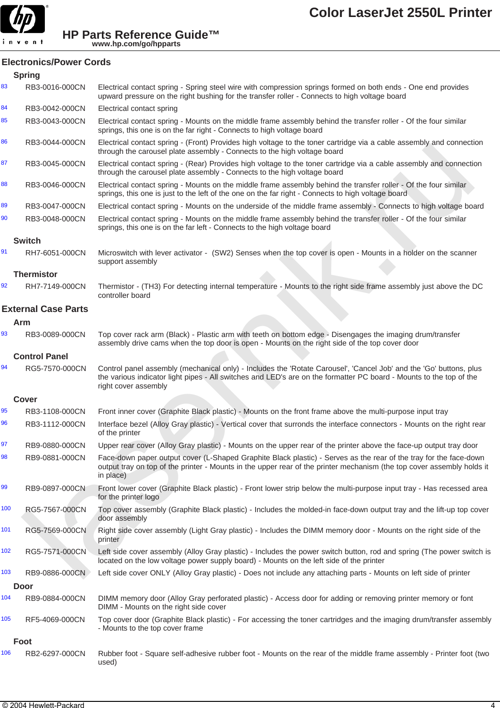

# **Electronics/Power Cords**

|     | <b>Spring</b>              |                                                                                                                                                                                                                                                                   |
|-----|----------------------------|-------------------------------------------------------------------------------------------------------------------------------------------------------------------------------------------------------------------------------------------------------------------|
| 83  | RB3-0016-000CN             | Electrical contact spring - Spring steel wire with compression springs formed on both ends - One end provides<br>upward pressure on the right bushing for the transfer roller - Connects to high voltage board                                                    |
| 84  | RB3-0042-000CN             | Electrical contact spring                                                                                                                                                                                                                                         |
| 85  | RB3-0043-000CN             | Electrical contact spring - Mounts on the middle frame assembly behind the transfer roller - Of the four similar<br>springs, this one is on the far right - Connects to high voltage board                                                                        |
| 86  | RB3-0044-000CN             | Electrical contact spring - (Front) Provides high voltage to the toner cartridge via a cable assembly and connection<br>through the carousel plate assembly - Connects to the high voltage board                                                                  |
| 87  | RB3-0045-000CN             | Electrical contact spring - (Rear) Provides high voltage to the toner cartridge via a cable assembly and connection<br>through the carousel plate assembly - Connects to the high voltage board                                                                   |
| 88  | RB3-0046-000CN             | Electrical contact spring - Mounts on the middle frame assembly behind the transfer roller - Of the four similar<br>springs, this one is just to the left of the one on the far right - Connects to high voltage board                                            |
| 89  | RB3-0047-000CN             | Electrical contact spring - Mounts on the underside of the middle frame assembly - Connects to high voltage board                                                                                                                                                 |
| 90  | RB3-0048-000CN             | Electrical contact spring - Mounts on the middle frame assembly behind the transfer roller - Of the four similar<br>springs, this one is on the far left - Connects to the high voltage board                                                                     |
|     | <b>Switch</b>              |                                                                                                                                                                                                                                                                   |
| 91  | RH7-6051-000CN             | Microswitch with lever activator - (SW2) Senses when the top cover is open - Mounts in a holder on the scanner<br>support assembly                                                                                                                                |
|     | <b>Thermistor</b>          |                                                                                                                                                                                                                                                                   |
| 92  | RH7-7149-000CN             | Thermistor - (TH3) For detecting internal temperature - Mounts to the right side frame assembly just above the DC<br>controller board                                                                                                                             |
|     | <b>External Case Parts</b> |                                                                                                                                                                                                                                                                   |
|     | Arm                        |                                                                                                                                                                                                                                                                   |
| 93  | RB3-0089-000CN             | Top cover rack arm (Black) - Plastic arm with teeth on bottom edge - Disengages the imaging drum/transfer<br>assembly drive cams when the top door is open - Mounts on the right side of the top cover door                                                       |
|     | <b>Control Panel</b>       |                                                                                                                                                                                                                                                                   |
| 94  | RG5-7570-000CN             | Control panel assembly (mechanical only) - Includes the 'Rotate Carousel', 'Cancel Job' and the 'Go' buttons, plus<br>the various indicator light pipes - All switches and LED's are on the formatter PC board - Mounts to the top of the<br>right cover assembly |
|     | Cover                      |                                                                                                                                                                                                                                                                   |
| 95  | RB3-1108-000CN             | Front inner cover (Graphite Black plastic) - Mounts on the front frame above the multi-purpose input tray                                                                                                                                                         |
| 96  | RB3-1112-000CN             | Interface bezel (Alloy Gray plastic) - Vertical cover that surronds the interface connectors - Mounts on the right rear<br>of the printer                                                                                                                         |
| 97  | RB9-0880-000CN             | Upper rear cover (Alloy Gray plastic) - Mounts on the upper rear of the printer above the face-up output tray door                                                                                                                                                |
| 98  | RB9-0881-000CN             | Face-down paper output cover (L-Shaped Graphite Black plastic) - Serves as the rear of the tray for the face-down<br>output tray on top of the printer - Mounts in the upper rear of the printer mechanism (the top cover assembly holds it<br>in place)          |
| 99  | RB9-0897-000CN             | Front lower cover (Graphite Black plastic) - Front lower strip below the multi-purpose input tray - Has recessed area<br>for the printer logo                                                                                                                     |
| 100 | RG5-7567-000CN             | Top cover assembly (Graphite Black plastic) - Includes the molded-in face-down output tray and the lift-up top cover<br>door assembly                                                                                                                             |
| 101 | RG5-7569-000CN             | Right side cover assembly (Light Gray plastic) - Includes the DIMM memory door - Mounts on the right side of the<br>printer                                                                                                                                       |
| 102 | RG5-7571-000CN             | Left side cover assembly (Alloy Gray plastic) - Includes the power switch button, rod and spring (The power switch is<br>located on the low voltage power supply board) - Mounts on the left side of the printer                                                  |
| 103 | RB9-0886-000CN             | Left side cover ONLY (Alloy Gray plastic) - Does not include any attaching parts - Mounts on left side of printer                                                                                                                                                 |
|     | <b>Door</b>                |                                                                                                                                                                                                                                                                   |
| 104 | RB9-0884-000CN             | DIMM memory door (Alloy Gray perforated plastic) - Access door for adding or removing printer memory or font<br>DIMM - Mounts on the right side cover                                                                                                             |
| 105 | RF5-4069-000CN             | Top cover door (Graphite Black plastic) - For accessing the toner cartridges and the imaging drum/transfer assembly<br>- Mounts to the top cover frame                                                                                                            |
|     | Foot                       |                                                                                                                                                                                                                                                                   |
| 106 | RB2-6297-000CN             | Rubber foot - Square self-adhesive rubber foot - Mounts on the rear of the middle frame assembly - Printer foot (two<br>used)                                                                                                                                     |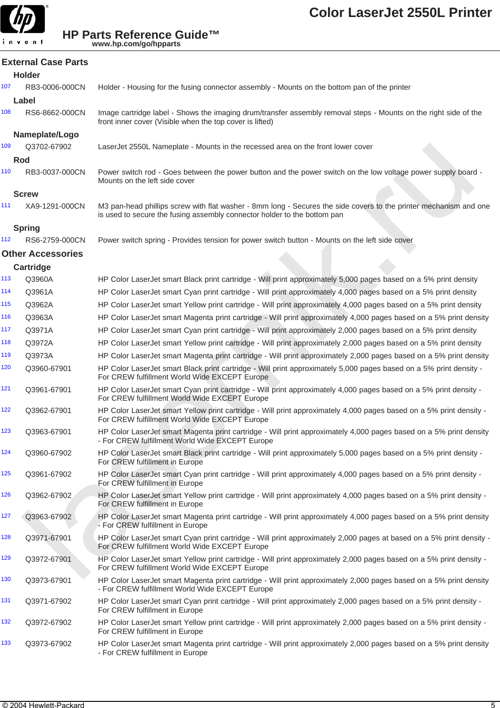

**External Case Parts**

**HP Parts Reference Guide™ www.hp.com/go/hpparts**

### **Holder** 107 RB3-0006-000CN Holder - Housing for the fusing connector assembly - Mounts on the bottom pan of the printer **Label** 108 RS6-8662-000CN Image cartridge label - Shows the imaging drum/transfer assembly removal steps - Mounts on the right side of the front inner cover (Visible when the top cover is lifted) **Nameplate/Logo** 109 Q3702-67902 LaserJet 2550L Nameplate - Mounts in the recessed area on the front lower cover **Rod** 110 RB3-0037-000CN Power switch rod - Goes between the power button and the power switch on the low voltage power supply board - Mounts on the left side cover **Screw** 111 XA9-1291-000CN M3 pan-head phillips screw with flat washer - 8mm long - Secures the side covers to the printer mechanism and one is used to secure the fusing assembly connector holder to the bottom pan **Spring** 112 RS6-2759-000CN Power switch spring - Provides tension for power switch button - Mounts on the left side cover **Other Accessories Cartridge** 113 Q3960A HP Color LaserJet smart Black print cartridge - Will print approximately 5,000 pages based on a 5% print density 114 Q3961A HP Color LaserJet smart Cyan print cartridge - Will print approximately 4,000 pages based on a 5% print density 115 Q3962A HP Color LaserJet smart Yellow print cartridge - Will print approximately 4,000 pages based on a 5% print density 116 Q3963A HP Color LaserJet smart Magenta print cartridge - Will print approximately 4,000 pages based on a 5% print density 117 Q3971A HP Color LaserJet smart Cyan print cartridge - Will print approximately 2,000 pages based on a 5% print density 118 Q3972A HP Color LaserJet smart Yellow print cartridge - Will print approximately 2,000 pages based on a 5% print density 119 Q3973A HP Color LaserJet smart Magenta print cartridge - Will print approximately 2,000 pages based on a 5% print density 120 Q3960-67901 HP Color LaserJet smart Black print cartridge - Will print approximately 5,000 pages based on a 5% print density - For CREW fulfillment World Wide EXCEPT Europe 121 Q3961-67901 HP Color LaserJet smart Cyan print cartridge - Will print approximately 4,000 pages based on a 5% print density - For CREW fulfillment World Wide EXCEPT Europe 122 Q3962-67901 HP Color LaserJet smart Yellow print cartridge - Will print approximately 4,000 pages based on a 5% print density - For CREW fulfillment World Wide EXCEPT Europe 123 Q3963-67901 HP Color LaserJet smart Magenta print cartridge - Will print approximately 4,000 pages based on a 5% print density - For CREW fulfillment World Wide EXCEPT Europe 124 Q3960-67902 HP Color LaserJet smart Black print cartridge - Will print approximately 5,000 pages based on a 5% print density - For CREW fulfillment in Europe 125 Q3961-67902 HP Color LaserJet smart Cyan print cartridge - Will print approximately 4,000 pages based on a 5% print density - For CREW fulfillment in Europe 126 Q3962-67902 HP Color LaserJet smart Yellow print cartridge - Will print approximately 4,000 pages based on a 5% print density - For CREW fulfillment in Europe 127 Q3963-67902 HP Color LaserJet smart Magenta print cartridge - Will print approximately 4,000 pages based on a 5% print density - For CREW fulfillment in Europe 128 Q3971-67901 HP Color LaserJet smart Cyan print cartridge - Will print approximately 2,000 pages at based on a 5% print density - For CREW fulfillment World Wide EXCEPT Europe 129 Q3972-67901 HP Color LaserJet smart Yellow print cartridge - Will print approximately 2,000 pages based on a 5% print density - For CREW fulfillment World Wide EXCEPT Europe C3772-75022<br>
Rashell a Social Amegina - Mount in the received area on the ford lower cover<br>
RB3-0007-7600CN - Rever switch red. Gians between the parent tustion and the power switch on the low voltage power supply beam<br>
RB

130 Q3973-67901 HP Color LaserJet smart Magenta print cartridge - Will print approximately 2,000 pages based on a 5% print density - For CREW fulfillment World Wide EXCEPT Europe

131 Q3971-67902 HP Color LaserJet smart Cyan print cartridge - Will print approximately 2,000 pages based on a 5% print density - For CREW fulfillment in Europe

132 Q3972-67902 HP Color LaserJet smart Yellow print cartridge - Will print approximately 2,000 pages based on a 5% print density - For CREW fulfillment in Europe

133 Q3973-67902 HP Color LaserJet smart Magenta print cartridge - Will print approximately 2,000 pages based on a 5% print density - For CREW fulfillment in Europe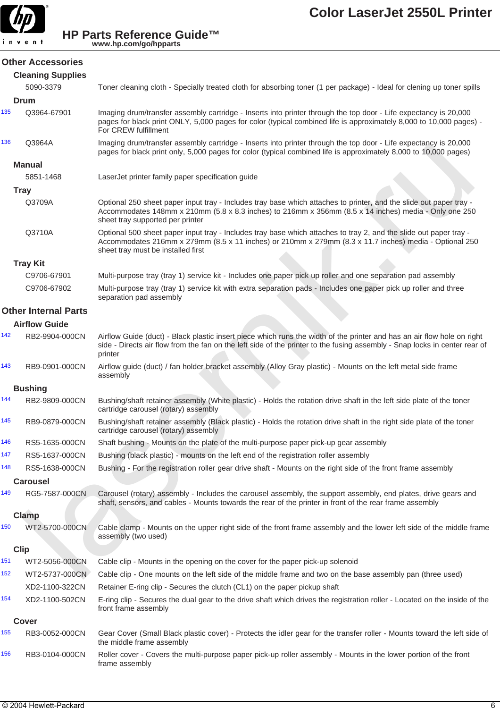

#### **Other Accessories**

#### **Cleaning Supplies**

|     | 5090-3379                   | Toner cleaning cloth - Specially treated cloth for absorbing toner (1 per package) - Ideal for clening up toner spills                                                                                                                                            |
|-----|-----------------------------|-------------------------------------------------------------------------------------------------------------------------------------------------------------------------------------------------------------------------------------------------------------------|
|     | <b>Drum</b>                 |                                                                                                                                                                                                                                                                   |
| 135 | Q3964-67901                 | Imaging drum/transfer assembly cartridge - Inserts into printer through the top door - Life expectancy is 20,000<br>pages for black print ONLY, 5,000 pages for color (typical combined life is approximately 8,000 to 10,000 pages) -<br>For CREW fulfillment    |
| 136 | Q3964A                      | Imaging drum/transfer assembly cartridge - Inserts into printer through the top door - Life expectancy is 20,000<br>pages for black print only, 5,000 pages for color (typical combined life is approximately 8,000 to 10,000 pages)                              |
|     | <b>Manual</b>               |                                                                                                                                                                                                                                                                   |
|     | 5851-1468                   | LaserJet printer family paper specification guide                                                                                                                                                                                                                 |
|     | <b>Tray</b>                 |                                                                                                                                                                                                                                                                   |
|     | Q3709A                      | Optional 250 sheet paper input tray - Includes tray base which attaches to printer, and the slide out paper tray -<br>Accommodates 148mm x 210mm (5.8 x 8.3 inches) to 216mm x 356mm (8.5 x 14 inches) media - Only one 250<br>sheet tray supported per printer   |
|     | Q3710A                      | Optional 500 sheet paper input tray - Includes tray base which attaches to tray 2, and the slide out paper tray -<br>Accommodates 216mm x 279mm (8.5 x 11 inches) or 210mm x 279mm (8.3 x 11.7 inches) media - Optional 250<br>sheet tray must be installed first |
|     | <b>Tray Kit</b>             |                                                                                                                                                                                                                                                                   |
|     | C9706-67901                 | Multi-purpose tray (tray 1) service kit - Includes one paper pick up roller and one separation pad assembly                                                                                                                                                       |
|     | C9706-67902                 | Multi-purpose tray (tray 1) service kit with extra separation pads - Includes one paper pick up roller and three<br>separation pad assembly                                                                                                                       |
|     | <b>Other Internal Parts</b> |                                                                                                                                                                                                                                                                   |
|     | <b>Airflow Guide</b>        |                                                                                                                                                                                                                                                                   |
| 142 | RB2-9904-000CN              | Airflow Guide (duct) - Black plastic insert piece which runs the width of the printer and has an air flow hole on right<br>side - Directs air flow from the fan on the left side of the printer to the fusing assembly - Snap locks in center rear of<br>printer  |
| 143 | RB9-0901-000CN              | Airflow quide (duct) / fan holder bracket assembly (Alloy Gray plastic) - Mounts on the left metal side frame<br>assembly                                                                                                                                         |
|     | <b>Bushing</b>              |                                                                                                                                                                                                                                                                   |
| 144 | RB2-9809-000CN              | Bushing/shaft retainer assembly (White plastic) - Holds the rotation drive shaft in the left side plate of the toner<br>cartridge carousel (rotary) assembly                                                                                                      |
| 145 | RB9-0879-000CN              | Bushing/shaft retainer assembly (Black plastic) - Holds the rotation drive shaft in the right side plate of the toner<br>cartridge carousel (rotary) assembly                                                                                                     |
| 146 | RS5-1635-000CN              | Shaft bushing - Mounts on the plate of the multi-purpose paper pick-up gear assembly                                                                                                                                                                              |
| 147 | RS5-1637-000CN              | Bushing (black plastic) - mounts on the left end of the registration roller assembly                                                                                                                                                                              |
| 148 | RS5-1638-000CN              | Bushing - For the registration roller gear drive shaft - Mounts on the right side of the front frame assembly                                                                                                                                                     |
|     | <b>Carousel</b>             |                                                                                                                                                                                                                                                                   |
| 149 | RG5-7587-000CN              | Carousel (rotary) assembly - Includes the carousel assembly, the support assembly, end plates, drive gears and<br>shaft, sensors, and cables - Mounts towards the rear of the printer in front of the rear frame assembly                                         |
|     | <b>Clamp</b>                |                                                                                                                                                                                                                                                                   |
| 150 | WT2-5700-000CN              | Cable clamp - Mounts on the upper right side of the front frame assembly and the lower left side of the middle frame<br>assembly (two used)                                                                                                                       |
|     | <b>Clip</b>                 |                                                                                                                                                                                                                                                                   |
| 151 | WT2-5056-000CN              | Cable clip - Mounts in the opening on the cover for the paper pick-up solenoid                                                                                                                                                                                    |
| 152 | WT2-5737-000CN              | Cable clip - One mounts on the left side of the middle frame and two on the base assembly pan (three used)                                                                                                                                                        |
|     | XD2-1100-322CN              | Retainer E-ring clip - Secures the clutch (CL1) on the paper pickup shaft                                                                                                                                                                                         |
| 154 | XD2-1100-502CN              | E-ring clip - Secures the dual gear to the drive shaft which drives the registration roller - Located on the inside of the<br>front frame assembly                                                                                                                |
|     | Cover                       |                                                                                                                                                                                                                                                                   |
| 155 | RB3-0052-000CN              | Gear Cover (Small Black plastic cover) - Protects the idler gear for the transfer roller - Mounts toward the left side of<br>the middle frame assembly                                                                                                            |
| 156 | RB3-0104-000CN              | Roller cover - Covers the multi-purpose paper pick-up roller assembly - Mounts in the lower portion of the front<br>frame assembly                                                                                                                                |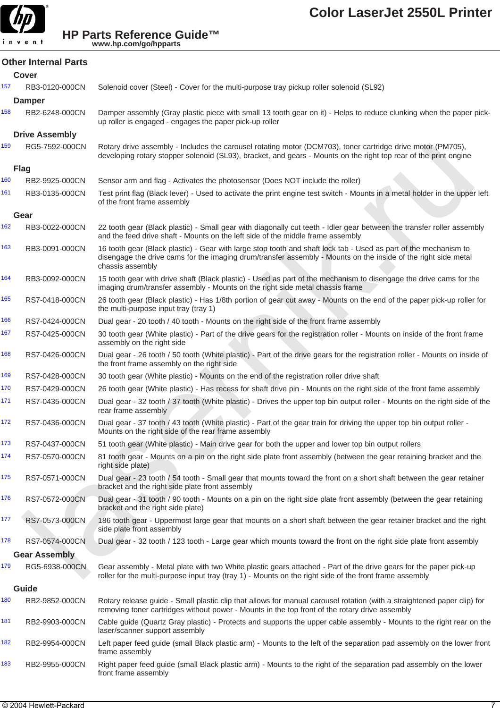

|     | <b>Other Internal Parts</b> |                                                                                                                                                                                                                                                        |
|-----|-----------------------------|--------------------------------------------------------------------------------------------------------------------------------------------------------------------------------------------------------------------------------------------------------|
|     | Cover                       |                                                                                                                                                                                                                                                        |
| 157 | RB3-0120-000CN              | Solenoid cover (Steel) - Cover for the multi-purpose tray pickup roller solenoid (SL92)                                                                                                                                                                |
|     | <b>Damper</b>               |                                                                                                                                                                                                                                                        |
| 158 | RB2-6248-000CN              | Damper assembly (Gray plastic piece with small 13 tooth gear on it) - Helps to reduce clunking when the paper pick-<br>up roller is engaged - engages the paper pick-up roller                                                                         |
|     | <b>Drive Assembly</b>       |                                                                                                                                                                                                                                                        |
| 159 | RG5-7592-000CN              | Rotary drive assembly - Includes the carousel rotating motor (DCM703), toner cartridge drive motor (PM705),<br>developing rotary stopper solenoid (SL93), bracket, and gears - Mounts on the right top rear of the print engine                        |
|     | <b>Flag</b>                 |                                                                                                                                                                                                                                                        |
| 160 | RB2-9925-000CN              | Sensor arm and flag - Activates the photosensor (Does NOT include the roller)                                                                                                                                                                          |
| 161 | RB3-0135-000CN              | Test print flag (Black lever) - Used to activate the print engine test switch - Mounts in a metal holder in the upper left<br>of the front frame assembly                                                                                              |
|     | Gear                        |                                                                                                                                                                                                                                                        |
| 162 | RB3-0022-000CN              | 22 tooth gear (Black plastic) - Small gear with diagonally cut teeth - Idler gear between the transfer roller assembly<br>and the feed drive shaft - Mounts on the left side of the middle frame assembly                                              |
| 163 | RB3-0091-000CN              | 16 tooth gear (Black plastic) - Gear with large stop tooth and shaft lock tab - Used as part of the mechanism to<br>disengage the drive cams for the imaging drum/transfer assembly - Mounts on the inside of the right side metal<br>chassis assembly |
| 164 | RB3-0092-000CN              | 15 tooth gear with drive shaft (Black plastic) - Used as part of the mechanism to disengage the drive cams for the<br>imaging drum/transfer assembly - Mounts on the right side metal chassis frame                                                    |
| 165 | RS7-0418-000CN              | 26 tooth gear (Black plastic) - Has 1/8th portion of gear cut away - Mounts on the end of the paper pick-up roller for<br>the multi-purpose input tray (tray 1)                                                                                        |
| 166 | RS7-0424-000CN              | Dual gear - 20 tooth / 40 tooth - Mounts on the right side of the front frame assembly                                                                                                                                                                 |
| 167 | RS7-0425-000CN              | 30 tooth gear (White plastic) - Part of the drive gears for the registration roller - Mounts on inside of the front frame<br>assembly on the right side                                                                                                |
| 168 | RS7-0426-000CN              | Dual gear - 26 tooth / 50 tooth (White plastic) - Part of the drive gears for the registration roller - Mounts on inside of<br>the front frame assembly on the right side                                                                              |
| 169 | RS7-0428-000CN              | 30 tooth gear (White plastic) - Mounts on the end of the registration roller drive shaft                                                                                                                                                               |
| 170 | RS7-0429-000CN              | 26 tooth gear (White plastic) - Has recess for shaft drive pin - Mounts on the right side of the front fame assembly                                                                                                                                   |
| 171 | RS7-0435-000CN              | Dual gear - 32 tooth / 37 tooth (White plastic) - Drives the upper top bin output roller - Mounts on the right side of the<br>rear frame assembly                                                                                                      |
| 172 | RS7-0436-000CN              | Dual gear - 37 tooth / 43 tooth (White plastic) - Part of the gear train for driving the upper top bin output roller -<br>Mounts on the right side of the rear frame assembly                                                                          |
| 173 | RS7-0437-000CN              | 51 tooth gear (White plastic) - Main drive gear for both the upper and lower top bin output rollers                                                                                                                                                    |
| 174 | RS7-0570-000CN              | 81 tooth gear - Mounts on a pin on the right side plate front assembly (between the gear retaining bracket and the<br>right side plate)                                                                                                                |
| 175 | RS7-0571-000CN              | Dual gear - 23 tooth / 54 tooth - Small gear that mounts toward the front on a short shaft between the gear retainer<br>bracket and the right side plate front assembly                                                                                |
| 176 | RS7-0572-000CN              | Dual gear - 31 tooth / 90 tooth - Mounts on a pin on the right side plate front assembly (between the gear retaining<br>bracket and the right side plate)                                                                                              |
| 177 | RS7-0573-000CN              | 186 tooth gear - Uppermost large gear that mounts on a short shaft between the gear retainer bracket and the right<br>side plate front assembly                                                                                                        |
| 178 | RS7-0574-000CN              | Dual gear - 32 tooth / 123 tooth - Large gear which mounts toward the front on the right side plate front assembly                                                                                                                                     |
|     | <b>Gear Assembly</b>        |                                                                                                                                                                                                                                                        |
| 179 | RG5-6938-000CN              | Gear assembly - Metal plate with two White plastic gears attached - Part of the drive gears for the paper pick-up<br>roller for the multi-purpose input tray (tray 1) - Mounts on the right side of the front frame assembly                           |
|     | Guide                       |                                                                                                                                                                                                                                                        |
| 180 | RB2-9852-000CN              | Rotary release guide - Small plastic clip that allows for manual carousel rotation (with a straightened paper clip) for<br>removing toner cartridges without power - Mounts in the top front of the rotary drive assembly                              |
| 181 | RB2-9903-000CN              | Cable guide (Quartz Gray plastic) - Protects and supports the upper cable assembly - Mounts to the right rear on the<br>laser/scanner support assembly                                                                                                 |
| 182 | RB2-9954-000CN              | Left paper feed guide (small Black plastic arm) - Mounts to the left of the separation pad assembly on the lower front<br>frame assembly                                                                                                               |
| 183 | RB2-9955-000CN              | Right paper feed guide (small Black plastic arm) - Mounts to the right of the separation pad assembly on the lower<br>front frame assembly                                                                                                             |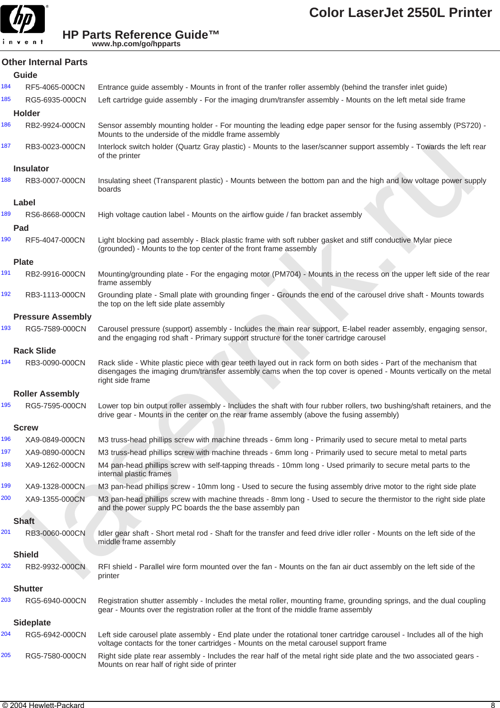

|     | <b>Other Internal Parts</b> |                                                                                                                                                                                                                                                            |
|-----|-----------------------------|------------------------------------------------------------------------------------------------------------------------------------------------------------------------------------------------------------------------------------------------------------|
|     | Guide                       |                                                                                                                                                                                                                                                            |
| 184 | RF5-4065-000CN              | Entrance guide assembly - Mounts in front of the tranfer roller assembly (behind the transfer inlet guide)                                                                                                                                                 |
| 185 | RG5-6935-000CN              | Left cartridge guide assembly - For the imaging drum/transfer assembly - Mounts on the left metal side frame                                                                                                                                               |
|     | <b>Holder</b>               |                                                                                                                                                                                                                                                            |
| 186 | RB2-9924-000CN              | Sensor assembly mounting holder - For mounting the leading edge paper sensor for the fusing assembly (PS720) -<br>Mounts to the underside of the middle frame assembly                                                                                     |
| 187 | RB3-0023-000CN              | Interlock switch holder (Quartz Gray plastic) - Mounts to the laser/scanner support assembly - Towards the left rear<br>of the printer                                                                                                                     |
|     | Insulator                   |                                                                                                                                                                                                                                                            |
| 188 | RB3-0007-000CN              | Insulating sheet (Transparent plastic) - Mounts between the bottom pan and the high and low voltage power supply<br>boards                                                                                                                                 |
|     | Label                       |                                                                                                                                                                                                                                                            |
| 189 | RS6-8668-000CN              | High voltage caution label - Mounts on the airflow guide / fan bracket assembly                                                                                                                                                                            |
|     | Pad                         |                                                                                                                                                                                                                                                            |
| 190 | RF5-4047-000CN              | Light blocking pad assembly - Black plastic frame with soft rubber gasket and stiff conductive Mylar piece<br>(grounded) - Mounts to the top center of the front frame assembly                                                                            |
|     | <b>Plate</b>                |                                                                                                                                                                                                                                                            |
| 191 | RB2-9916-000CN              | Mounting/grounding plate - For the engaging motor (PM704) - Mounts in the recess on the upper left side of the rear<br>frame assembly                                                                                                                      |
| 192 | RB3-1113-000CN              | Grounding plate - Small plate with grounding finger - Grounds the end of the carousel drive shaft - Mounts towards<br>the top on the left side plate assembly                                                                                              |
|     | <b>Pressure Assembly</b>    |                                                                                                                                                                                                                                                            |
| 193 | RG5-7589-000CN              | Carousel pressure (support) assembly - Includes the main rear support, E-label reader assembly, engaging sensor,<br>and the engaging rod shaft - Primary support structure for the toner cartridge carousel                                                |
|     | <b>Rack Slide</b>           |                                                                                                                                                                                                                                                            |
| 194 | RB3-0090-000CN              | Rack slide - White plastic piece with gear teeth layed out in rack form on both sides - Part of the mechanism that<br>disengages the imaging drum/transfer assembly cams when the top cover is opened - Mounts vertically on the metal<br>right side frame |
|     | <b>Roller Assembly</b>      |                                                                                                                                                                                                                                                            |
| 195 | RG5-7595-000CN              | Lower top bin output roller assembly - Includes the shaft with four rubber rollers, two bushing/shaft retainers, and the<br>drive gear - Mounts in the center on the rear frame assembly (above the fusing assembly)                                       |
|     | <b>Screw</b>                |                                                                                                                                                                                                                                                            |
| 196 | XA9-0849-000CN              | M3 truss-head phillips screw with machine threads - 6mm long - Primarily used to secure metal to metal parts                                                                                                                                               |
| 197 | XA9-0890-000CN              | M3 truss-head phillips screw with machine threads - 6mm long - Primarily used to secure metal to metal parts                                                                                                                                               |
| 198 | XA9-1262-000CN              | M4 pan-head phillips screw with self-tapping threads - 10mm long - Used primarily to secure metal parts to the<br>internal plastic frames                                                                                                                  |
| 199 | XA9-1328-000CN              | M3 pan-head phillips screw - 10mm long - Used to secure the fusing assembly drive motor to the right side plate                                                                                                                                            |
| 200 | XA9-1355-000CN              | M3 pan-head phillips screw with machine threads - 8mm long - Used to secure the thermistor to the right side plate<br>and the power supply PC boards the the base assembly pan                                                                             |
|     | <b>Shaft</b>                |                                                                                                                                                                                                                                                            |
| 201 | RB3-0060-000CN              | Idler gear shaft - Short metal rod - Shaft for the transfer and feed drive idler roller - Mounts on the left side of the<br>middle frame assembly                                                                                                          |
|     | <b>Shield</b>               |                                                                                                                                                                                                                                                            |
| 202 | RB2-9932-000CN              | RFI shield - Parallel wire form mounted over the fan - Mounts on the fan air duct assembly on the left side of the<br>printer                                                                                                                              |
|     | <b>Shutter</b>              |                                                                                                                                                                                                                                                            |
| 203 | RG5-6940-000CN              | Registration shutter assembly - Includes the metal roller, mounting frame, grounding springs, and the dual coupling<br>gear - Mounts over the registration roller at the front of the middle frame assembly                                                |
|     | <b>Sideplate</b>            |                                                                                                                                                                                                                                                            |
| 204 | RG5-6942-000CN              | Left side carousel plate assembly - End plate under the rotational toner cartridge carousel - Includes all of the high<br>voltage contacts for the toner cartridges - Mounts on the metal carousel support frame                                           |
| 205 | RG5-7580-000CN              | Right side plate rear assembly - Includes the rear half of the metal right side plate and the two associated gears -<br>Mounts on rear half of right side of printer                                                                                       |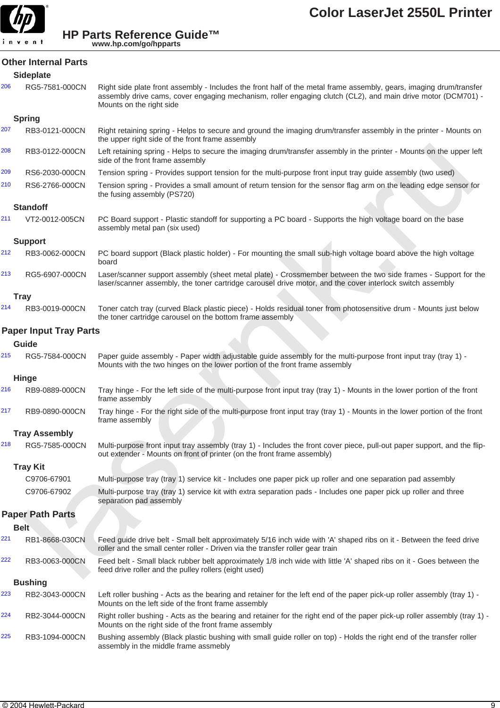

| Other Internal Parts |  |
|----------------------|--|
|                      |  |

| 206 | RG5-7581-000CN | Right side plate front assembly - Includes the front half of the metal frame assembly, gears, imaging drum/transfer |
|-----|----------------|---------------------------------------------------------------------------------------------------------------------|
|     |                | assembly drive cams, cover engaging mechanism, roller engaging clutch (CL2), and main drive motor (DCM701) -        |
|     |                | Mounts on the right side                                                                                            |

#### **Spring**

**Sideplate**

- 207 RB3-0121-000CN Right retaining spring Helps to secure and ground the imaging drum/transfer assembly in the printer Mounts on the upper right side of the front frame assembly
- 208 RB3-0122-000CN Left retaining spring Helps to secure the imaging drum/transfer assembly in the printer Mounts on the upper left side of the front frame assembly
- 209 RS6-2030-000CN Tension spring Provides support tension for the multi-purpose front input tray guide assembly (two used)
- 210 RS6-2766-000CN Tension spring Provides a small amount of return tension for the sensor flag arm on the leading edge sensor for the fusing assembly (PS720)

#### **Standoff**

#### **Support**

- 212 RB3-0062-000CN PC board support (Black plastic holder) For mounting the small sub-high voltage board above the high voltage board
- 213 RG5-6907-000CN Laser/scanner support assembly (sheet metal plate) Crossmember between the two side frames Support for the laser/scanner assembly, the toner cartridge carousel drive motor, and the cover interlock switch assembly

#### **Tray**

#### **Paper Input Tray Parts**

#### **Guide**

- 215 RG5-7584-000CN Paper guide assembly Paper width adjustable guide assembly for the multi-purpose front input tray (tray 1) Mounts with the two hinges on the lower portion of the front frame assembly
- **Hinge** 216 RB9-0889-000CN Tray hinge - For the left side of the multi-purpose front input tray (tray 1) - Mounts in the lower portion of the front frame assembly
- 217 RB9-0890-000CN Tray hinge For the right side of the multi-purpose front input tray (tray 1) Mounts in the lower portion of the front frame assembly

#### **Tray Assembly**

#### **Tray Kit**

#### **Paper Path Parts**

| 208 | RB3-0122-000CN                | Left retaining spring - Helps to secure the imaging drum/transfer assembly in the printer - Mounts on the upper left<br>side of the front frame assembly                                                                    |  |
|-----|-------------------------------|-----------------------------------------------------------------------------------------------------------------------------------------------------------------------------------------------------------------------------|--|
| 209 | RS6-2030-000CN                | Tension spring - Provides support tension for the multi-purpose front input tray guide assembly (two used)                                                                                                                  |  |
| 210 | RS6-2766-000CN                | Tension spring - Provides a small amount of return tension for the sensor flag arm on the leading edge sensor for<br>the fusing assembly (PS720)                                                                            |  |
|     | <b>Standoff</b>               |                                                                                                                                                                                                                             |  |
| 211 | VT2-0012-005CN                | PC Board support - Plastic standoff for supporting a PC board - Supports the high voltage board on the base<br>assembly metal pan (six used)                                                                                |  |
|     | <b>Support</b>                |                                                                                                                                                                                                                             |  |
| 212 | RB3-0062-000CN                | PC board support (Black plastic holder) - For mounting the small sub-high voltage board above the high voltage<br>board                                                                                                     |  |
| 213 | RG5-6907-000CN                | Laser/scanner support assembly (sheet metal plate) - Crossmember between the two side frames - Support for the<br>laser/scanner assembly, the toner cartridge carousel drive motor, and the cover interlock switch assembly |  |
|     | <b>Tray</b>                   |                                                                                                                                                                                                                             |  |
| 214 | RB3-0019-000CN                | Toner catch tray (curved Black plastic piece) - Holds residual toner from photosensitive drum - Mounts just below<br>the toner cartridge carousel on the bottom frame assembly                                              |  |
|     | <b>Paper Input Tray Parts</b> |                                                                                                                                                                                                                             |  |
|     | Guide                         |                                                                                                                                                                                                                             |  |
| 215 | RG5-7584-000CN                | Paper guide assembly - Paper width adjustable guide assembly for the multi-purpose front input tray (tray 1) -<br>Mounts with the two hinges on the lower portion of the front frame assembly                               |  |
|     | <b>Hinge</b>                  |                                                                                                                                                                                                                             |  |
| 216 | RB9-0889-000CN                | Tray hinge - For the left side of the multi-purpose front input tray (tray 1) - Mounts in the lower portion of the front<br>frame assembly                                                                                  |  |
| 217 | RB9-0890-000CN                | Tray hinge - For the right side of the multi-purpose front input tray (tray 1) - Mounts in the lower portion of the front<br>frame assembly                                                                                 |  |
|     | <b>Tray Assembly</b>          |                                                                                                                                                                                                                             |  |
| 218 | RG5-7585-000CN                | Multi-purpose front input tray assembly (tray 1) - Includes the front cover piece, pull-out paper support, and the flip-<br>out extender - Mounts on front of printer (on the front frame assembly)                         |  |
|     | <b>Tray Kit</b>               |                                                                                                                                                                                                                             |  |
|     | C9706-67901                   | Multi-purpose tray (tray 1) service kit - Includes one paper pick up roller and one separation pad assembly                                                                                                                 |  |
|     | C9706-67902                   | Multi-purpose tray (tray 1) service kit with extra separation pads - Includes one paper pick up roller and three<br>separation pad assembly                                                                                 |  |
|     | <b>Paper Path Parts</b>       |                                                                                                                                                                                                                             |  |
|     | <b>Belt</b>                   |                                                                                                                                                                                                                             |  |
| 221 | RB1-8668-030CN                | Feed guide drive belt - Small belt approximately 5/16 inch wide with 'A' shaped ribs on it - Between the feed drive<br>roller and the small center roller - Driven via the transfer roller gear train                       |  |
| 222 | RB3-0063-000CN                | Feed belt - Small black rubber belt approximately 1/8 inch wide with little 'A' shaped ribs on it - Goes between the<br>feed drive roller and the pulley rollers (eight used)                                               |  |
|     | <b>Bushing</b>                |                                                                                                                                                                                                                             |  |
| 223 | RB2-3043-000CN                | Left roller bushing - Acts as the bearing and retainer for the left end of the paper pick-up roller assembly (tray 1) -<br>Mounts on the left side of the front frame assembly                                              |  |
| 224 | RB2-3044-000CN                | Right roller bushing - Acts as the bearing and retainer for the right end of the paper pick-up roller assembly (tray 1) -<br>Mounts on the right side of the front frame assembly                                           |  |
|     |                               |                                                                                                                                                                                                                             |  |

RB3-1094-000CN Bushing assembly (Black plastic bushing with small guide roller on top) - Holds the right end of the transfer roller assembly in the middle frame assmebly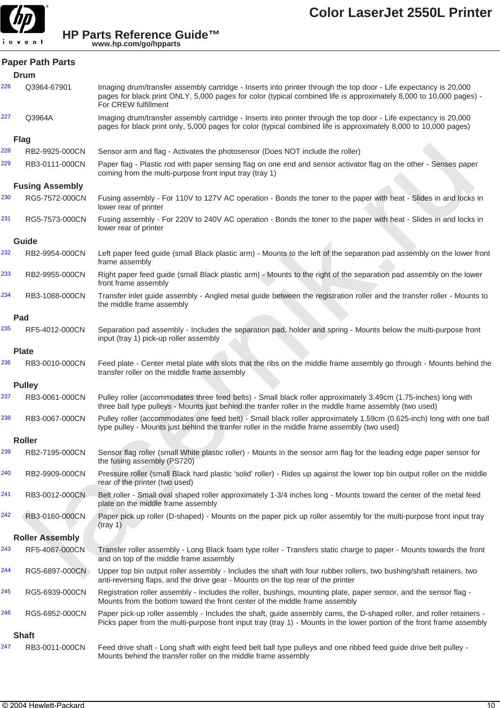

|     | <b>Paper Path Parts</b> |                                                                                                                                                                                                                                                                |
|-----|-------------------------|----------------------------------------------------------------------------------------------------------------------------------------------------------------------------------------------------------------------------------------------------------------|
|     | Drum                    |                                                                                                                                                                                                                                                                |
| 226 | Q3964-67901             | Imaging drum/transfer assembly cartridge - Inserts into printer through the top door - Life expectancy is 20,000<br>pages for black print ONLY, 5,000 pages for color (typical combined life is approximately 8,000 to 10,000 pages) -<br>For CREW fulfillment |
| 227 | Q3964A                  | Imaging drum/transfer assembly cartridge - Inserts into printer through the top door - Life expectancy is 20,000<br>pages for black print only, 5,000 pages for color (typical combined life is approximately 8,000 to 10,000 pages)                           |
|     | <b>Flag</b>             |                                                                                                                                                                                                                                                                |
| 228 | RB2-9925-000CN          | Sensor arm and flag - Activates the photosensor (Does NOT include the roller)                                                                                                                                                                                  |
| 229 | RB3-0111-000CN          | Paper flag - Plastic rod with paper sensing flag on one end and sensor activator flag on the other - Senses paper<br>coming from the multi-purpose front input tray (tray 1)                                                                                   |
|     | <b>Fusing Assembly</b>  |                                                                                                                                                                                                                                                                |
| 230 | RG5-7572-000CN          | Fusing assembly - For 110V to 127V AC operation - Bonds the toner to the paper with heat - Slides in and locks in<br>lower rear of printer                                                                                                                     |
| 231 | RG5-7573-000CN          | Fusing assembly - For 220V to 240V AC operation - Bonds the toner to the paper with heat - Slides in and locks in<br>lower rear of printer                                                                                                                     |
|     | Guide                   |                                                                                                                                                                                                                                                                |
| 232 | RB2-9954-000CN          | Left paper feed guide (small Black plastic arm) - Mounts to the left of the separation pad assembly on the lower front<br>frame assembly                                                                                                                       |
| 233 | RB2-9955-000CN          | Right paper feed guide (small Black plastic arm) - Mounts to the right of the separation pad assembly on the lower<br>front frame assembly                                                                                                                     |
| 234 | RB3-1088-000CN          | Transfer inlet guide assembly - Angled metal guide between the registration roller and the transfer roller - Mounts to<br>the middle frame assembly                                                                                                            |
|     | Pad                     |                                                                                                                                                                                                                                                                |
| 235 | RF5-4012-000CN          | Separation pad assembly - Includes the separation pad, holder and spring - Mounts below the multi-purpose front<br>input (tray 1) pick-up roller assembly                                                                                                      |
|     | <b>Plate</b>            |                                                                                                                                                                                                                                                                |
| 236 | RB3-0010-000CN          | Feed plate - Center metal plate with slots that the ribs on the middle frame assembly go through - Mounts behind the<br>transfer roller on the middle frame assembly                                                                                           |
|     | <b>Pulley</b>           |                                                                                                                                                                                                                                                                |
| 237 | RB3-0061-000CN          | Pulley roller (accommodates three feed belts) - Small black roller approximately 3.49cm (1.75-inches) long with<br>three ball type pulleys - Mounts just behind the tranfer roller in the middle frame assembly (two used)                                     |
| 238 | RB3-0067-000CN          | Pulley roller (accommodates one feed belt) - Small black roller approximately 1.59cm (0.625-inch) long with one ball<br>type pulley - Mounts just behind the tranfer roller in the middle frame assembly (two used)                                            |
|     | <b>Roller</b>           |                                                                                                                                                                                                                                                                |
| 239 | RB2-7195-000CN          | Sensor flag roller (small White plastic roller) - Mounts in the sensor arm flag for the leading edge paper sensor for<br>the fusing assembly (PS720)                                                                                                           |
| 240 | RB2-9909-000CN          | Pressure roller (small Black hard plastic 'solid' roller) - Rides up against the lower top bin output roller on the middle<br>rear of the printer (two used)                                                                                                   |
| 241 | RB3-0012-000CN          | Belt roller - Small oval shaped roller approximately 1-3/4 inches long - Mounts toward the center of the metal feed<br>plate on the middle frame assembly                                                                                                      |
| 242 | RB3-0160-000CN          | Paper pick up roller (D-shaped) - Mounts on the paper pick up roller assembly for the multi-purpose front input tray<br>(tray 1)                                                                                                                               |
|     | <b>Roller Assembly</b>  |                                                                                                                                                                                                                                                                |
| 243 | RF5-4067-000CN          | Transfer roller assembly - Long Black foam type roller - Transfers static charge to paper - Mounts towards the front<br>and on top of the middle frame assembly                                                                                                |
| 244 | RG5-6897-000CN          | Upper top bin output roller assembly - Includes the shaft with four rubber rollers, two bushing/shaft retainers, two<br>anti-reversing flaps, and the drive gear - Mounts on the top rear of the printer                                                       |
| 245 | RG5-6939-000CN          | Registration roller assembly - Includes the roller, bushings, mounting plate, paper sensor, and the sensor flag -<br>Mounts from the bottom toward the front center of the middle frame assembly                                                               |
| 246 | RG5-6952-000CN          | Paper pick-up roller assembly - Includes the shaft, guide assembly cams, the D-shaped roller, and roller retainers -<br>Picks paper from the multi-purpose front input tray (tray 1) - Mounts in the lower portion of the front frame assembly                 |
|     | <b>Shaft</b>            |                                                                                                                                                                                                                                                                |
| 247 | RB3-0011-000CN          | Feed drive shaft - Long shaft with eight feed belt ball type pulleys and one ribbed feed guide drive belt pulley -<br>Mounts behind the transfer roller on the middle frame assembly                                                                           |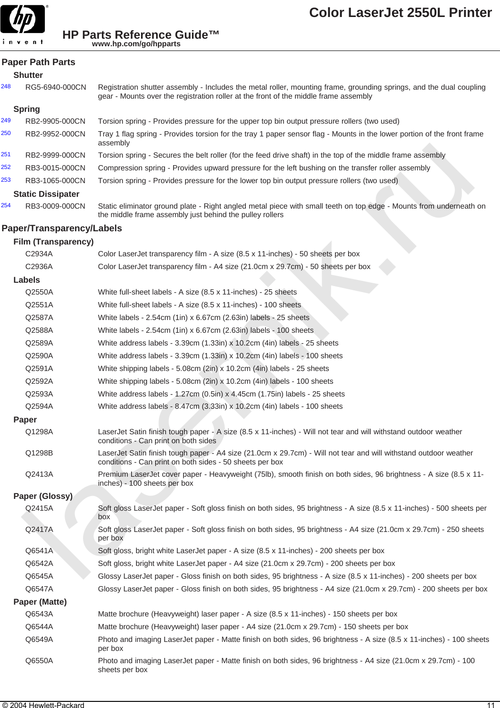

| <b>Paper Path Parts</b> |  |  |
|-------------------------|--|--|
|-------------------------|--|--|

248 RG5-6940-000CN Registration shutter assembly - Includes the metal roller, mounting frame, grounding springs, and the dual coupling gear - Mounts over the registration roller at the front of the middle frame assembly

#### **Spring**

| 249 | RB2-9905-000CN           | Torsion spring - Provides pressure for the upper top bin output pressure rollers (two used)                                         |
|-----|--------------------------|-------------------------------------------------------------------------------------------------------------------------------------|
| 250 | RB2-9952-000CN           | Tray 1 flag spring - Provides torsion for the tray 1 paper sensor flag - Mounts in the lower portion of the front frame<br>assembly |
| 251 | RB2-9999-000CN           | Torsion spring - Secures the belt roller (for the feed drive shaft) in the top of the middle frame assembly                         |
| 252 | RB3-0015-000CN           | Compression spring - Provides upward pressure for the left bushing on the transfer roller assembly                                  |
| 253 | RB3-1065-000CN           | Torsion spring - Provides pressure for the lower top bin output pressure rollers (two used)                                         |
|     | <b>Static Dissipater</b> |                                                                                                                                     |
| 254 | RR3-0009-000CN           | Static eliminator ground plate - Right angled metal piece with small teeth on top edge - Mounts from underneath on                  |

#### **Paper/Transparency/Labels**

|                |                            | doogiiliuly                                                                                                                                                                    |  |  |
|----------------|----------------------------|--------------------------------------------------------------------------------------------------------------------------------------------------------------------------------|--|--|
|                | RB2-9999-000CN             | Torsion spring - Secures the belt roller (for the feed drive shaft) in the top of the middle frame assembly                                                                    |  |  |
|                | RB3-0015-000CN             | Compression spring - Provides upward pressure for the left bushing on the transfer roller assembly                                                                             |  |  |
|                | RB3-1065-000CN             | Torsion spring - Provides pressure for the lower top bin output pressure rollers (two used)                                                                                    |  |  |
|                | <b>Static Dissipater</b>   |                                                                                                                                                                                |  |  |
|                | RB3-0009-000CN             | Static eliminator ground plate - Right angled metal piece with small teeth on top edge - Mounts from underneath on<br>the middle frame assembly just behind the pulley rollers |  |  |
|                | aper/Transparency/Labels   |                                                                                                                                                                                |  |  |
|                | <b>Film (Transparency)</b> |                                                                                                                                                                                |  |  |
|                | C2934A                     | Color LaserJet transparency film - A size (8.5 x 11-inches) - 50 sheets per box                                                                                                |  |  |
|                | C2936A                     | Color LaserJet transparency film - A4 size (21.0cm x 29.7cm) - 50 sheets per box                                                                                               |  |  |
|                | <b>Labels</b>              |                                                                                                                                                                                |  |  |
|                | Q2550A                     | White full-sheet labels - A size (8.5 x 11-inches) - 25 sheets                                                                                                                 |  |  |
|                | Q2551A                     | White full-sheet labels - A size (8.5 x 11-inches) - 100 sheets                                                                                                                |  |  |
|                | Q2587A                     | White labels - 2.54cm (1in) x 6.67cm (2.63in) labels - 25 sheets                                                                                                               |  |  |
|                | Q2588A                     | White labels - 2.54cm (1in) x 6.67cm (2.63in) labels - 100 sheets                                                                                                              |  |  |
|                | Q2589A                     | White address labels - 3.39cm (1.33in) x 10.2cm (4in) labels - 25 sheets                                                                                                       |  |  |
|                | Q2590A                     | White address labels - 3.39cm (1.33in) x 10.2cm (4in) labels - 100 sheets                                                                                                      |  |  |
|                | Q2591A                     | White shipping labels - 5.08cm (2in) x 10.2cm (4in) labels - 25 sheets                                                                                                         |  |  |
|                | Q2592A                     | White shipping labels - 5.08cm (2in) x 10.2cm (4in) labels - 100 sheets                                                                                                        |  |  |
|                | Q2593A                     | White address labels - 1.27cm (0.5in) x 4.45cm (1.75in) labels - 25 sheets                                                                                                     |  |  |
|                | Q2594A                     | White address labels - 8.47cm (3.33in) x 10.2cm (4in) labels - 100 sheets                                                                                                      |  |  |
|                | Paper                      |                                                                                                                                                                                |  |  |
|                | Q1298A                     | LaserJet Satin finish tough paper - A size (8.5 x 11-inches) - Will not tear and will withstand outdoor weather<br>conditions - Can print on both sides                        |  |  |
|                | Q1298B                     | LaserJet Satin finish tough paper - A4 size (21.0cm x 29.7cm) - Will not tear and will withstand outdoor weather<br>conditions - Can print on both sides - 50 sheets per box   |  |  |
|                | Q2413A                     | Premium LaserJet cover paper - Heavyweight (75lb), smooth finish on both sides, 96 brightness - A size (8.5 x 11-<br>inches) - 100 sheets per box                              |  |  |
| Paper (Glossy) |                            |                                                                                                                                                                                |  |  |
|                | Q2415A                     | Soft gloss LaserJet paper - Soft gloss finish on both sides, 95 brightness - A size (8.5 x 11-inches) - 500 sheets per<br>box                                                  |  |  |
|                | Q2417A                     | Soft gloss LaserJet paper - Soft gloss finish on both sides, 95 brightness - A4 size (21.0cm x 29.7cm) - 250 sheets<br>per box                                                 |  |  |
|                | Q6541A                     | Soft gloss, bright white LaserJet paper - A size (8.5 x 11-inches) - 200 sheets per box                                                                                        |  |  |
|                | Q6542A                     | Soft gloss, bright white LaserJet paper - A4 size (21.0cm x 29.7cm) - 200 sheets per box                                                                                       |  |  |
|                | Q6545A                     | Glossy LaserJet paper - Gloss finish on both sides, 95 brightness - A size (8.5 x 11-inches) - 200 sheets per box                                                              |  |  |
|                | Q6547A                     | Glossy LaserJet paper - Gloss finish on both sides, 95 brightness - A4 size (21.0cm x 29.7cm) - 200 sheets per box                                                             |  |  |
|                | Paper (Matte)              |                                                                                                                                                                                |  |  |
|                | Q6543A                     | Matte brochure (Heavyweight) laser paper - A size (8.5 x 11-inches) - 150 sheets per box                                                                                       |  |  |
|                | Q6544A                     | Matte brochure (Heavyweight) laser paper - A4 size (21.0cm x 29.7cm) - 150 sheets per box                                                                                      |  |  |
|                | Q6549A                     | Photo and imaging LaserJet paper - Matte finish on both sides, 96 brightness - A size (8.5 x 11-inches) - 100 sheets<br>per box                                                |  |  |
|                | Q6550A                     | Photo and imaging LaserJet paper - Matte finish on both sides, 96 brightness - A4 size (21.0cm x 29.7cm) - 100<br>sheets per box                                               |  |  |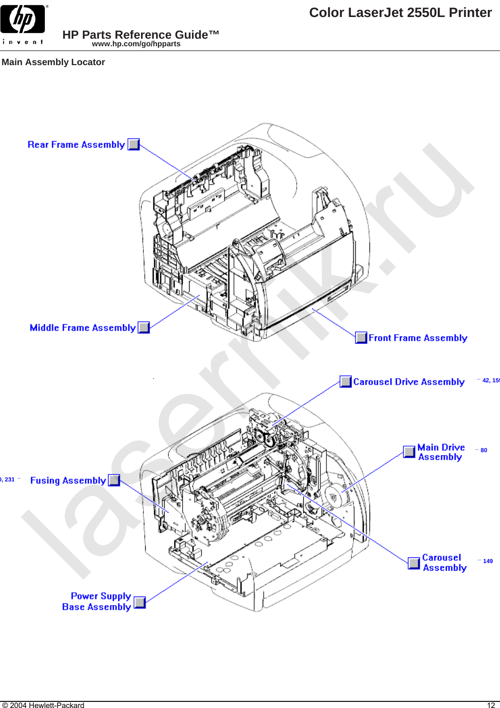

**Main Assembly Locator**

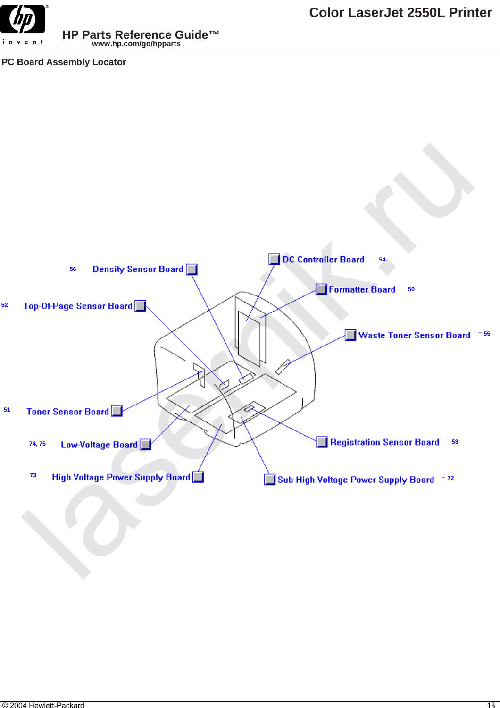

**PC Board Assembly Locator**

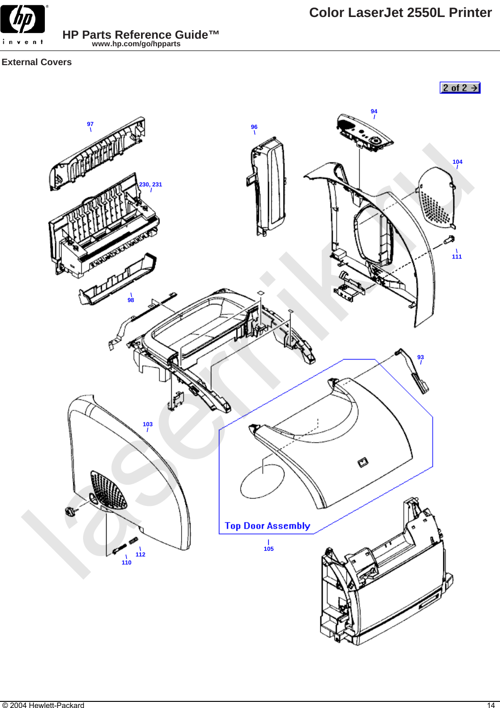

**External Covers**

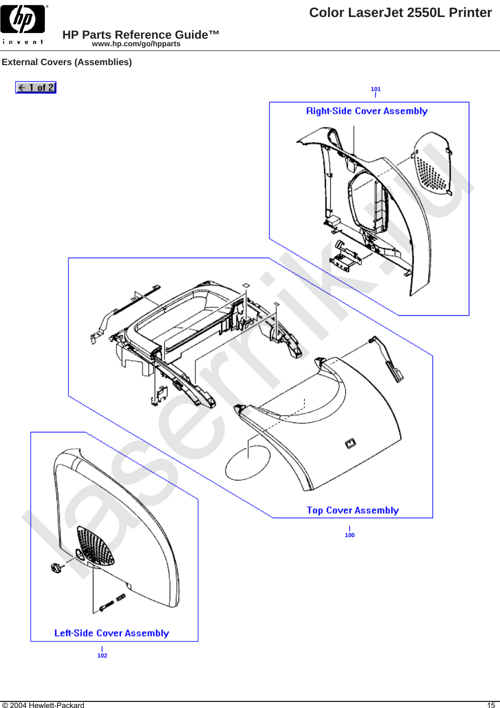

**Color LaserJet 2550L Printer**

**External Covers (Assemblies)**

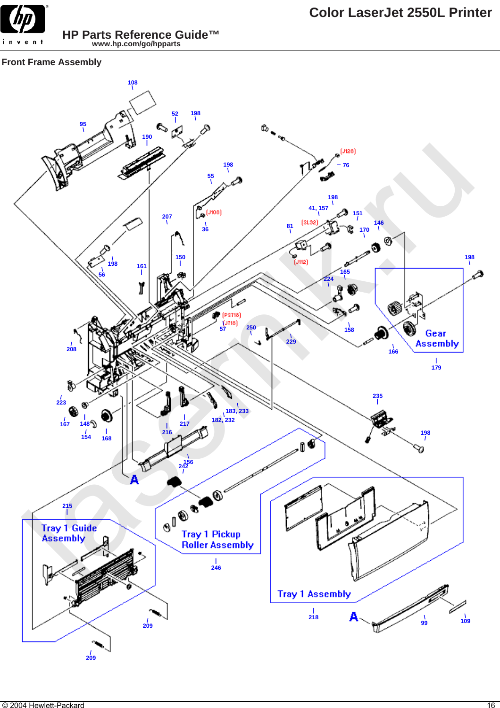

# **Front Frame Assembly**

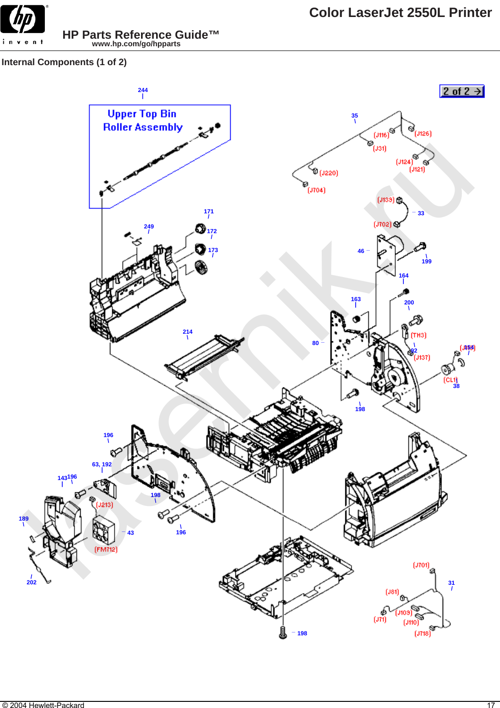

**Internal Components (1 of 2)**

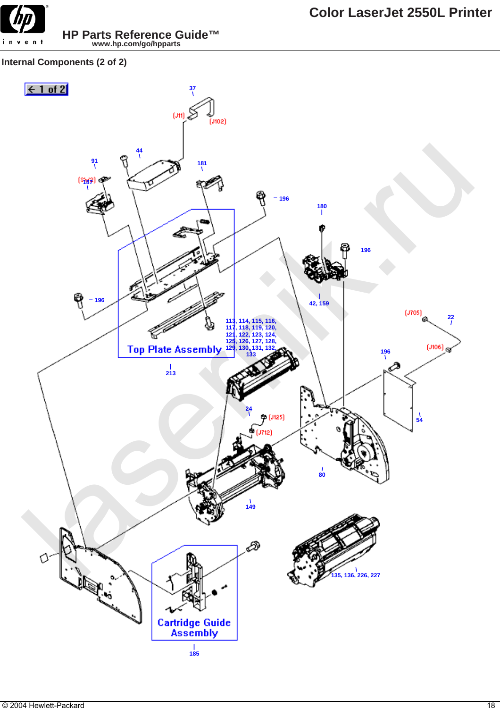

**Internal Components (2 of 2)**

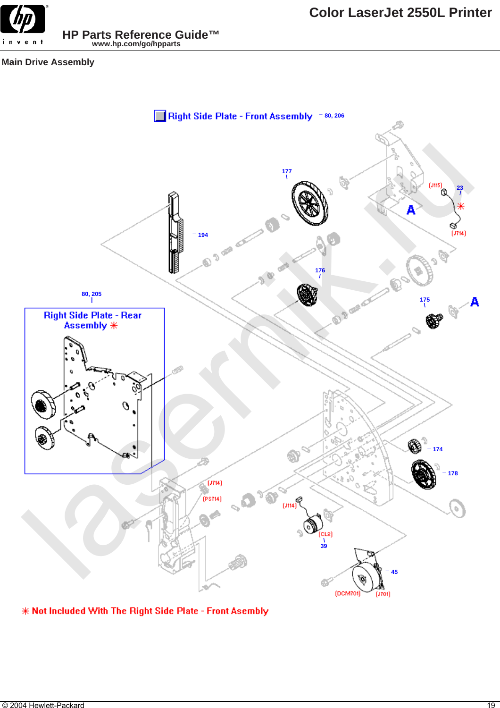

**Main Drive Assembly**



**\* Not Included With The Right Side Plate - Front Asembly**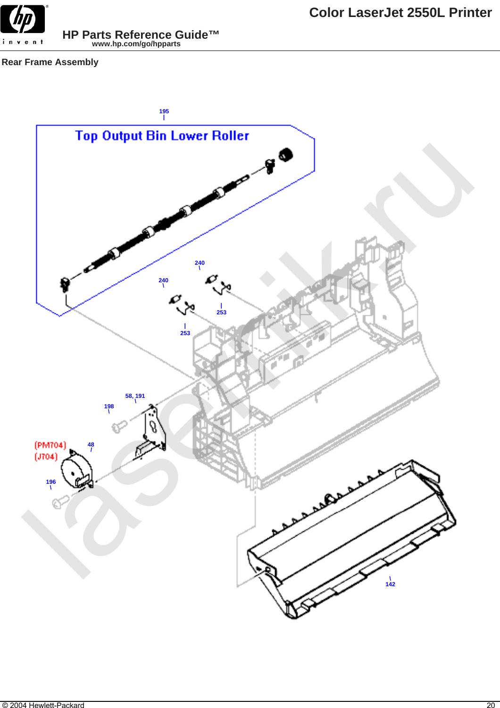

**Rear Frame Assembly**

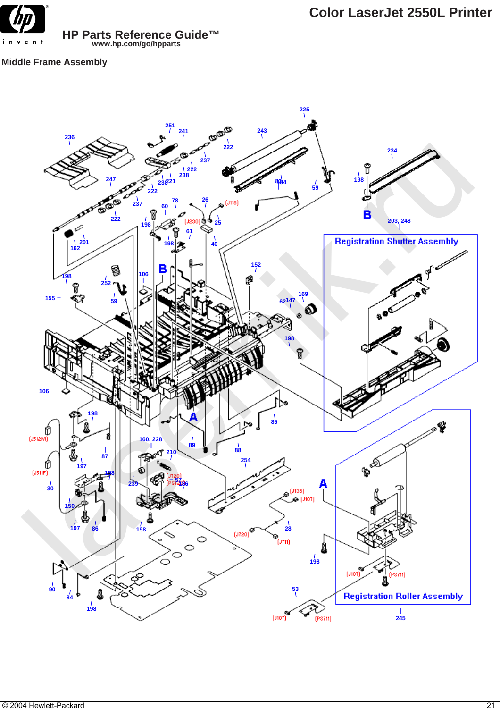

# **Middle Frame Assembly**

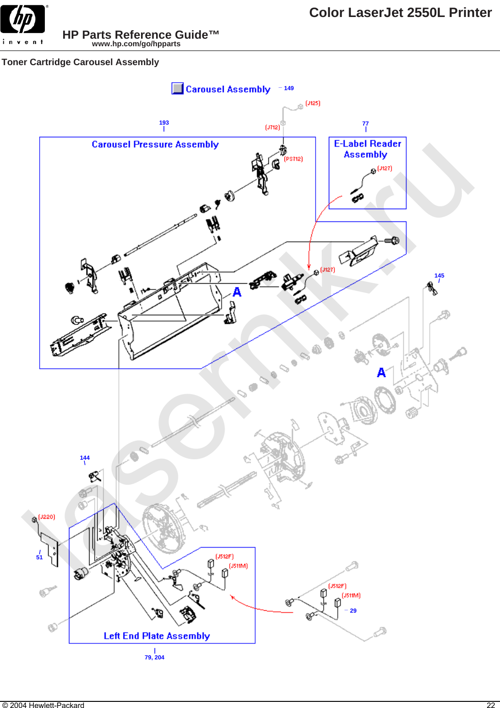

# **Toner Cartridge Carousel Assembly**

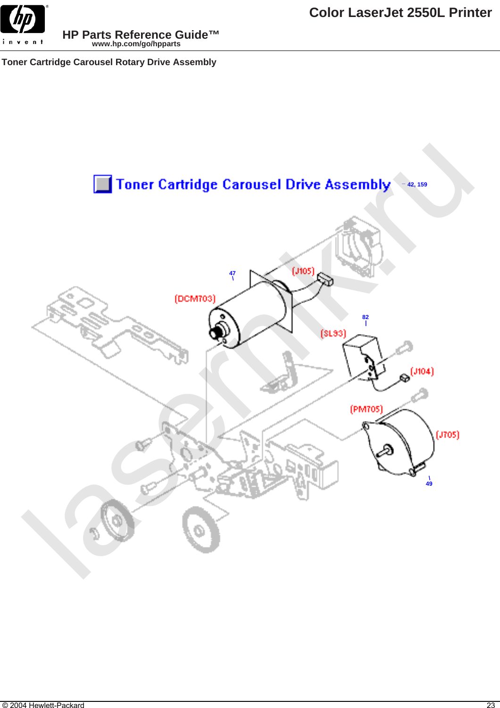

**Toner Cartridge Carousel Rotary Drive Assembly**

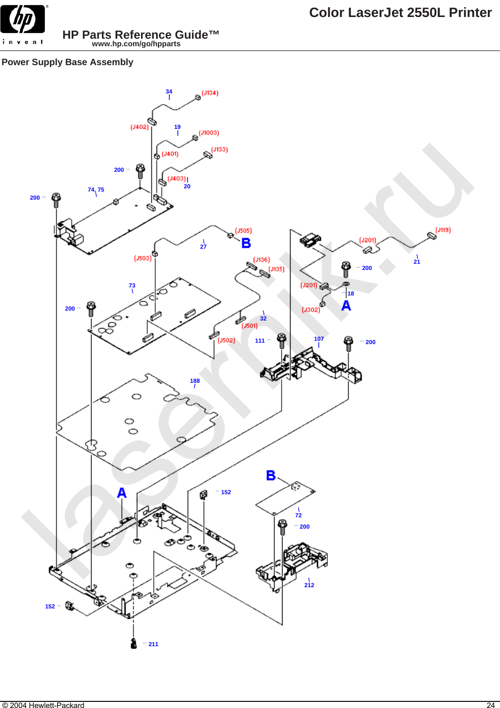# **Power Supply Base Assembly**